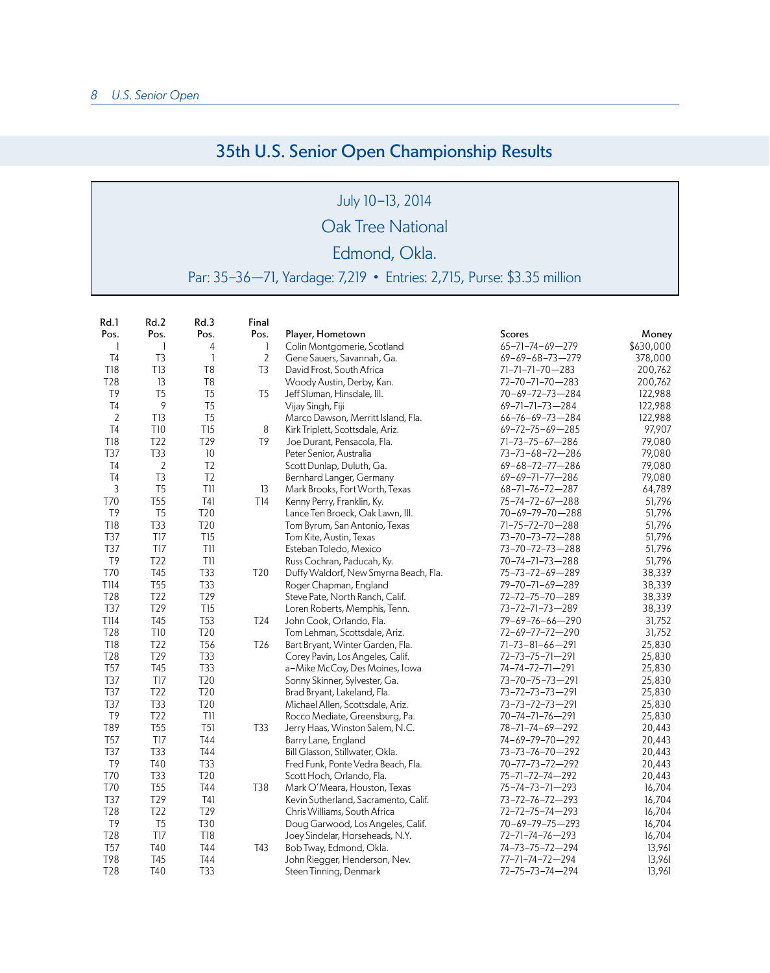## 35th U.S. Senior Open Championship Results

July 10-13, 2014

Oak Tree National

## Edmond, Okla.

Par: 35-36—71, Yardage: 7,219 • Entries: 2,715, Purse: \$3.35 million

| Rd.1           | Rd.2            | Rd.3            | Final           |                                       |                           |           |
|----------------|-----------------|-----------------|-----------------|---------------------------------------|---------------------------|-----------|
| Pos.           | Pos.            | Pos.            | Pos.            | Player, Hometown                      | Scores                    | Money     |
| -1             | 1               | 4               | 1               | Colin Montgomerie, Scotland           | 65-71-74-69-279           | \$630,000 |
| T <sub>4</sub> | T <sub>3</sub>  | 1               | $\overline{2}$  | Gene Sauers, Savannah, Ga.            | $69 - 69 - 68 - 73 - 279$ | 378,000   |
| T18            | <b>T13</b>      | T <sub>8</sub>  | T <sub>3</sub>  | David Frost, South Africa             | 71-71-71-70-283           | 200,762   |
| T28            | 13              | T <sub>8</sub>  |                 | Woody Austin, Derby, Kan.             | 72-70-71-70-283           | 200,762   |
| T9             | T <sub>5</sub>  | T <sub>5</sub>  | T <sub>5</sub>  | Jeff Sluman, Hinsdale, Ill.           | 70-69-72-73-284           | 122,988   |
| T <sub>4</sub> | 9               | T <sub>5</sub>  |                 | Vijay Singh, Fiji                     | 69-71-71-73-284           | 122,988   |
| $\overline{2}$ | T13             | T <sub>5</sub>  |                 | Marco Dawson, Merritt Island, Fla.    | 66-76-69-73-284           | 122,988   |
| T <sub>4</sub> | <b>T10</b>      | T <sub>15</sub> | 8               | Kirk Triplett, Scottsdale, Ariz.      | 69-72-75-69-285           | 97,907    |
| <b>T18</b>     | T <sub>22</sub> | T29             | T <sub>9</sub>  | Joe Durant, Pensacola, Fla.           | 71-73-75-67-286           | 79,080    |
| T37            | T33             | 10              |                 | Peter Senior, Australia               | 73-73-68-72-286           | 79,080    |
| T <sub>4</sub> | $\sqrt{2}$      | T <sub>2</sub>  |                 | Scott Dunlap, Duluth, Ga.             | 69-68-72-77-286           | 79,080    |
| T <sub>4</sub> | T <sub>3</sub>  | T <sub>2</sub>  |                 | Bernhard Langer, Germany              | 69-69-71-77-286           | 79,080    |
| 3              | T <sub>5</sub>  | TII             | 13              | Mark Brooks, Fort Worth, Texas        | 68-71-76-72-287           | 64,789    |
| T70            | <b>T55</b>      | <b>T41</b>      | T14             | Kenny Perry, Franklin, Ky.            | 75-74-72-67-288           | 51,796    |
| T <sub>9</sub> | T <sub>5</sub>  | T20             |                 | Lance Ten Broeck, Oak Lawn, Ill.      | 70-69-79-70-288           | 51,796    |
| <b>T18</b>     | T33             | T20             |                 | Tom Byrum, San Antonio, Texas         | 71-75-72-70-288           | 51,796    |
| T37            | T17             | <b>T15</b>      |                 | Tom Kite, Austin, Texas               | 73-70-73-72-288           | 51,796    |
| T37            | TI7             | TII             |                 | Esteban Toledo, Mexico                | 73-70-72-73-288           | 51,796    |
| T9             | T22             | TII             |                 | Russ Cochran, Paducah, Ky.            | 70-74-71-73-288           | 51,796    |
| T70            | T45             | T33             | T20             | Duffy Waldorf, New Smyrna Beach, Fla. | 75-73-72-69-289           | 38,339    |
| T114           | <b>T55</b>      | T33             |                 | Roger Chapman, England                | 79-70-71-69-289           | 38,339    |
| <b>T28</b>     | T <sub>22</sub> | T29             |                 | Steve Pate, North Ranch, Calif.       | 72-72-75-70-289           | 38,339    |
| T37            | T29             | <b>T15</b>      |                 | Loren Roberts, Memphis, Tenn.         | 73-72-71-73-289           | 38,339    |
| T114           | T45             | <b>T53</b>      | T24             | John Cook, Orlando, Fla.              | 79-69-76-66-290           | 31,752    |
| <b>T28</b>     | <b>T10</b>      | T20             |                 | Tom Lehman, Scottsdale, Ariz.         | 72-69-77-72-290           | 31,752    |
| <b>T18</b>     | T <sub>22</sub> | T <sub>56</sub> | T <sub>26</sub> | Bart Bryant, Winter Garden, Fla.      | 71-73-81-66-291           | 25,830    |
| T28            | T29             | T33             |                 | Corey Pavin, Los Angeles, Calif.      | 72-73-75-71-291           | 25,830    |
| <b>T57</b>     | T45             | T33             |                 | a-Mike McCoy, Des Moines, Iowa        | 74-74-72-71-291           | 25,830    |
| T37            | <b>T17</b>      | T20             |                 | Sonny Skinner, Sylvester, Ga.         | 73-70-75-73-291           | 25,830    |
| T37            | T22             | T20             |                 | Brad Bryant, Lakeland, Fla.           | 73-72-73-73-291           | 25,830    |
| T37            | T33             | T20             |                 | Michael Allen, Scottsdale, Ariz.      | 73-73-72-73-291           | 25,830    |
| T9             | T22             | TII             |                 | Rocco Mediate, Greensburg, Pa.        | 70-74-71-76-291           | 25,830    |
| T89            | <b>T55</b>      | <b>T51</b>      | T33             | Jerry Haas, Winston Salem, N.C.       | 78-71-74-69-292           | 20,443    |
| <b>T57</b>     | T <sub>17</sub> | <b>T44</b>      |                 | Barry Lane, England                   | 74-69-79-70-292           | 20,443    |
| T37            | T33             | <b>T44</b>      |                 | Bill Glasson, Stillwater, Okla.       | 73-73-76-70-292           | 20,443    |
| T <sub>9</sub> | <b>T40</b>      | T33             |                 | Fred Funk, Ponte Vedra Beach, Fla.    | 70-77-73-72-292           | 20,443    |
| <b>T70</b>     | T33             | T20             |                 | Scott Hoch, Orlando, Fla.             | 75-71-72-74-292           | 20,443    |
| T70            | <b>T55</b>      | <b>T44</b>      | T38             | Mark O'Meara, Houston, Texas          | 75-74-73-71-293           | 16,704    |
| T37            | T29             | T41             |                 | Kevin Sutherland, Sacramento, Calif.  | 73-72-76-72-293           | 16,704    |
| T28            | T22             | T29             |                 | Chris Williams, South Africa          | 72-72-75-74-293           | 16,704    |
| T <sub>9</sub> | T <sub>5</sub>  | T30             |                 | Doug Garwood, Los Angeles, Calif.     | 70-69-79-75-293           | 16,704    |
| T28            | T <sub>17</sub> | <b>T18</b>      |                 | Joey Sindelar, Horseheads, N.Y.       | 72-71-74-76-293           | 16,704    |
| <b>T57</b>     | T40             | <b>T44</b>      | T43             | Bob Tway, Edmond, Okla.               | 74-73-75-72-294           | 13,961    |
| T98            | T45             | <b>T44</b>      |                 | John Riegger, Henderson, Nev.         | 77-71-74-72-294           | 13,961    |
| <b>T28</b>     | T40             | T33             |                 | Steen Tinning, Denmark                | 72-75-73-74-294           | 13,961    |